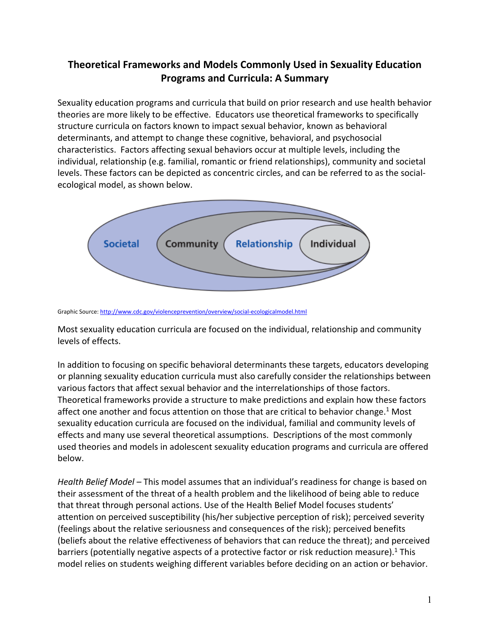## **Theoretical Frameworks and Models Commonly Used in Sexuality Education Programs and Curricula: A Summary**

Sexuality education programs and curricula that build on prior research and use health behavior theories are more likely to be effective. Educators use theoretical frameworks to specifically structure curricula on factors known to impact sexual behavior, known as behavioral determinants, and attempt to change these cognitive, behavioral, and psychosocial characteristics. Factors affecting sexual behaviors occur at multiple levels, including the individual, relationship (e.g. familial, romantic or friend relationships), community and societal levels. These factors can be depicted as concentric circles, and can be referred to as the social‐ ecological model, as shown below.



Graphic Source: http://www.cdc.gov/violenceprevention/overview/social‐ecologicalmodel.html

Most sexuality education curricula are focused on the individual, relationship and community levels of effects.

In addition to focusing on specific behavioral determinants these targets, educators developing or planning sexuality education curricula must also carefully consider the relationships between various factors that affect sexual behavior and the interrelationships of those factors. Theoretical frameworks provide a structure to make predictions and explain how these factors affect one another and focus attention on those that are critical to behavior change.<sup>1</sup> Most sexuality education curricula are focused on the individual, familial and community levels of effects and many use several theoretical assumptions. Descriptions of the most commonly used theories and models in adolescent sexuality education programs and curricula are offered below.

*Health Belief Model –* This model assumes that an individual's readiness for change is based on their assessment of the threat of a health problem and the likelihood of being able to reduce that threat through personal actions. Use of the Health Belief Model focuses students' attention on perceived susceptibility (his/her subjective perception of risk); perceived severity (feelings about the relative seriousness and consequences of the risk); perceived benefits (beliefs about the relative effectiveness of behaviors that can reduce the threat); and perceived barriers (potentially negative aspects of a protective factor or risk reduction measure).<sup>1</sup> This model relies on students weighing different variables before deciding on an action or behavior.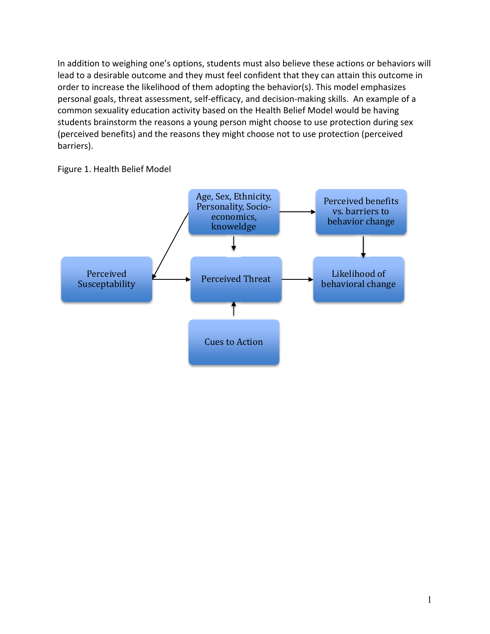In addition to weighing one's options, students must also believe these actions or behaviors will lead to a desirable outcome and they must feel confident that they can attain this outcome in order to increase the likelihood of them adopting the behavior(s). This model emphasizes personal goals, threat assessment, self‐efficacy, and decision‐making skills. An example of a common sexuality education activity based on the Health Belief Model would be having students brainstorm the reasons a young person might choose to use protection during sex (perceived benefits) and the reasons they might choose not to use protection (perceived barriers).

Figure 1. Health Belief Model

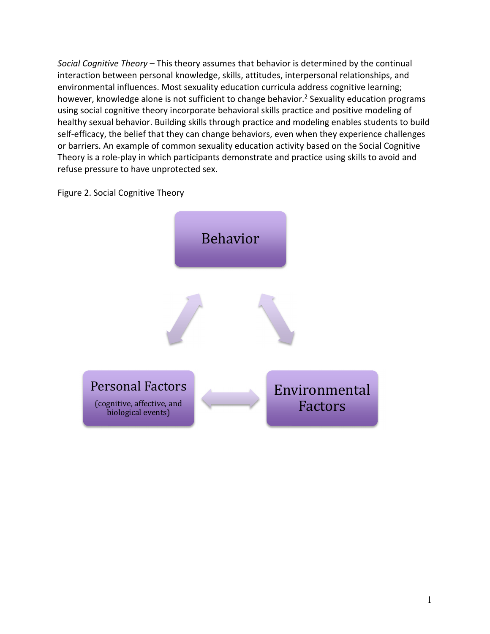*Social Cognitive Theory –* This theory assumes that behavior is determined by the continual interaction between personal knowledge, skills, attitudes, interpersonal relationships, and environmental influences. Most sexuality education curricula address cognitive learning; however, knowledge alone is not sufficient to change behavior.<sup>2</sup> Sexuality education programs using social cognitive theory incorporate behavioral skills practice and positive modeling of healthy sexual behavior. Building skills through practice and modeling enables students to build self-efficacy, the belief that they can change behaviors, even when they experience challenges or barriers. An example of common sexuality education activity based on the Social Cognitive Theory is a role‐play in which participants demonstrate and practice using skills to avoid and refuse pressure to have unprotected sex.

Figure 2. Social Cognitive Theory

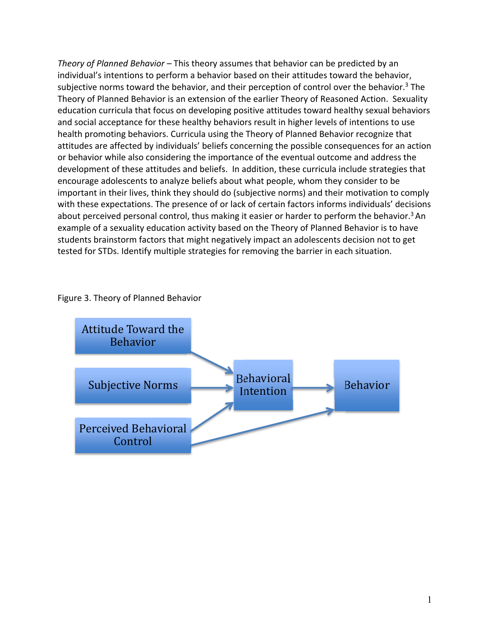*Theory of Planned Behavior –* This theory assumes that behavior can be predicted by an individual's intentions to perform a behavior based on their attitudes toward the behavior, subjective norms toward the behavior, and their perception of control over the behavior.<sup>3</sup> The Theory of Planned Behavior is an extension of the earlier Theory of Reasoned Action. Sexuality education curricula that focus on developing positive attitudes toward healthy sexual behaviors and social acceptance for these healthy behaviors result in higher levels of intentions to use health promoting behaviors. Curricula using the Theory of Planned Behavior recognize that attitudes are affected by individuals' beliefs concerning the possible consequences for an action or behavior while also considering the importance of the eventual outcome and address the development of these attitudes and beliefs. In addition, these curricula include strategies that encourage adolescents to analyze beliefs about what people, whom they consider to be important in their lives, think they should do (subjective norms) and their motivation to comply with these expectations. The presence of or lack of certain factors informs individuals' decisions about perceived personal control, thus making it easier or harder to perform the behavior.<sup>3</sup> An example of a sexuality education activity based on the Theory of Planned Behavior is to have students brainstorm factors that might negatively impact an adolescents decision not to get tested for STDs. Identify multiple strategies for removing the barrier in each situation.

## Figure 3. Theory of Planned Behavior

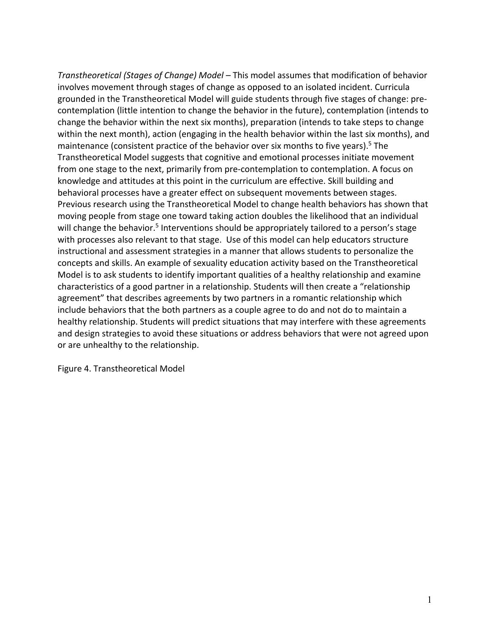*Transtheoretical (Stages of Change) Model –* This model assumes that modification of behavior involves movement through stages of change as opposed to an isolated incident. Curricula grounded in the Transtheoretical Model will guide students through five stages of change: pre‐ contemplation (little intention to change the behavior in the future), contemplation (intends to change the behavior within the next six months), preparation (intends to take steps to change within the next month), action (engaging in the health behavior within the last six months), and maintenance (consistent practice of the behavior over six months to five years).<sup>5</sup> The Transtheoretical Model suggests that cognitive and emotional processes initiate movement from one stage to the next, primarily from pre‐contemplation to contemplation. A focus on knowledge and attitudes at this point in the curriculum are effective. Skill building and behavioral processes have a greater effect on subsequent movements between stages. Previous research using the Transtheoretical Model to change health behaviors has shown that moving people from stage one toward taking action doubles the likelihood that an individual will change the behavior.<sup>5</sup> Interventions should be appropriately tailored to a person's stage with processes also relevant to that stage. Use of this model can help educators structure instructional and assessment strategies in a manner that allows students to personalize the concepts and skills. An example of sexuality education activity based on the Transtheoretical Model is to ask students to identify important qualities of a healthy relationship and examine characteristics of a good partner in a relationship. Students will then create a "relationship agreement" that describes agreements by two partners in a romantic relationship which include behaviors that the both partners as a couple agree to do and not do to maintain a healthy relationship. Students will predict situations that may interfere with these agreements and design strategies to avoid these situations or address behaviors that were not agreed upon or are unhealthy to the relationship.

Figure 4. Transtheoretical Model